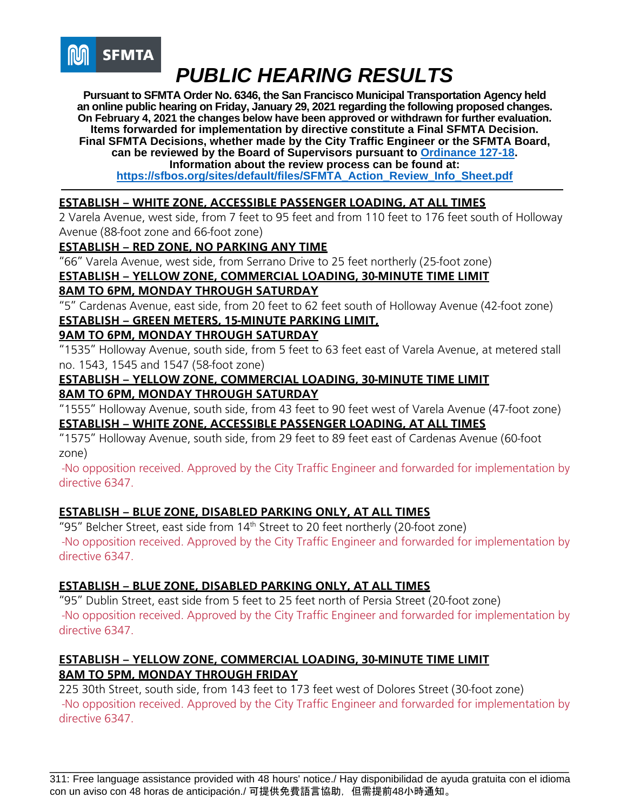

**Pursuant to SFMTA Order No. 6346, the San Francisco Municipal Transportation Agency held an online public hearing on Friday, January 29, 2021 regarding the following proposed changes. On February 4, 2021 the changes below have been approved or withdrawn for further evaluation. Items forwarded for implementation by directive constitute a Final SFMTA Decision. Final SFMTA Decisions, whether made by the City Traffic Engineer or the SFMTA Board, can be reviewed by the Board of Supervisors pursuant to [Ordinance 127-18.](https://sfbos.org/sites/default/files/o0127-18.pdf) Information about the review process can be found at: [https://sfbos.org/sites/default/files/SFMTA\\_Action\\_Review\\_Info\\_Sheet.pdf](https://sfbos.org/sites/default/files/SFMTA_Action_Review_Info_Sheet.pdf)**

### **ESTABLISH – WHITE ZONE, ACCESSIBLE PASSENGER LOADING, AT ALL TIMES**

2 Varela Avenue, west side, from 7 feet to 95 feet and from 110 feet to 176 feet south of Holloway Avenue (88-foot zone and 66-foot zone)

#### **ESTABLISH – RED ZONE, NO PARKING ANY TIME**

"66" Varela Avenue, west side, from Serrano Drive to 25 feet northerly (25-foot zone)

**ESTABLISH – YELLOW ZONE, COMMERCIAL LOADING, 30-MINUTE TIME LIMIT**

### **8AM TO 6PM, MONDAY THROUGH SATURDAY**

"5" Cardenas Avenue, east side, from 20 feet to 62 feet south of Holloway Avenue (42-foot zone)

## **ESTABLISH – GREEN METERS, 15-MINUTE PARKING LIMIT,**

#### **9AM TO 6PM, MONDAY THROUGH SATURDAY**

"1535" Holloway Avenue, south side, from 5 feet to 63 feet east of Varela Avenue, at metered stall no. 1543, 1545 and 1547 (58-foot zone)

#### **ESTABLISH – YELLOW ZONE, COMMERCIAL LOADING, 30-MINUTE TIME LIMIT 8AM TO 6PM, MONDAY THROUGH SATURDAY**

"1555" Holloway Avenue, south side, from 43 feet to 90 feet west of Varela Avenue (47-foot zone) **ESTABLISH – WHITE ZONE, ACCESSIBLE PASSENGER LOADING, AT ALL TIMES**

"1575" Holloway Avenue, south side, from 29 feet to 89 feet east of Cardenas Avenue (60-foot zone)

-No opposition received. Approved by the City Traffic Engineer and forwarded for implementation by directive 6347.

## **ESTABLISH – BLUE ZONE, DISABLED PARKING ONLY, AT ALL TIMES**

"95" Belcher Street, east side from 14<sup>th</sup> Street to 20 feet northerly (20-foot zone) -No opposition received. Approved by the City Traffic Engineer and forwarded for implementation by directive 6347.

## **ESTABLISH – BLUE ZONE, DISABLED PARKING ONLY, AT ALL TIMES**

"95" Dublin Street, east side from 5 feet to 25 feet north of Persia Street (20-foot zone) -No opposition received. Approved by the City Traffic Engineer and forwarded for implementation by directive 6347.

## **ESTABLISH – YELLOW ZONE, COMMERCIAL LOADING, 30-MINUTE TIME LIMIT 8AM TO 5PM, MONDAY THROUGH FRIDAY**

225 30th Street, south side, from 143 feet to 173 feet west of Dolores Street (30-foot zone) -No opposition received. Approved by the City Traffic Engineer and forwarded for implementation by directive 6347.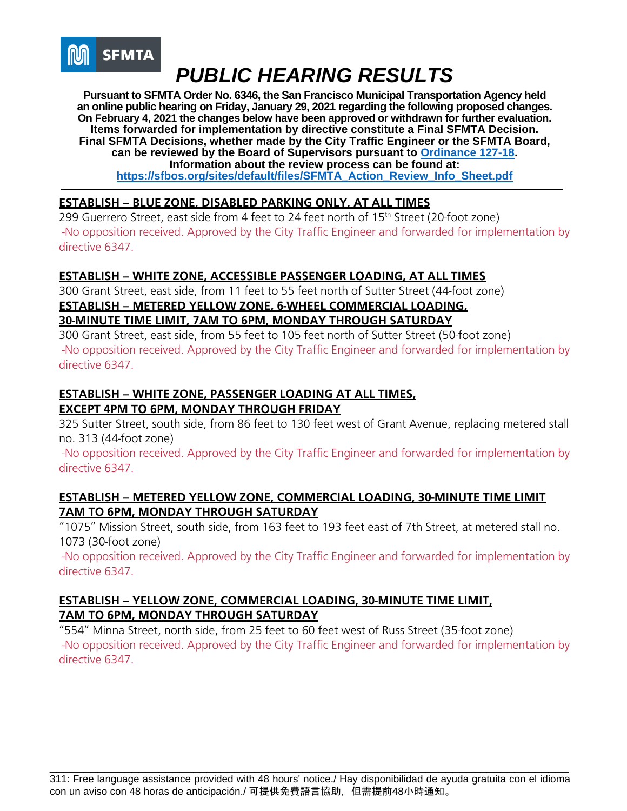

**Pursuant to SFMTA Order No. 6346, the San Francisco Municipal Transportation Agency held an online public hearing on Friday, January 29, 2021 regarding the following proposed changes. On February 4, 2021 the changes below have been approved or withdrawn for further evaluation. Items forwarded for implementation by directive constitute a Final SFMTA Decision. Final SFMTA Decisions, whether made by the City Traffic Engineer or the SFMTA Board, can be reviewed by the Board of Supervisors pursuant to [Ordinance 127-18.](https://sfbos.org/sites/default/files/o0127-18.pdf) Information about the review process can be found at: [https://sfbos.org/sites/default/files/SFMTA\\_Action\\_Review\\_Info\\_Sheet.pdf](https://sfbos.org/sites/default/files/SFMTA_Action_Review_Info_Sheet.pdf)**

## **ESTABLISH – BLUE ZONE, DISABLED PARKING ONLY, AT ALL TIMES**

299 Guerrero Street, east side from 4 feet to 24 feet north of 15<sup>th</sup> Street (20-foot zone) -No opposition received. Approved by the City Traffic Engineer and forwarded for implementation by directive 6347.

## **ESTABLISH – WHITE ZONE, ACCESSIBLE PASSENGER LOADING, AT ALL TIMES**

300 Grant Street, east side, from 11 feet to 55 feet north of Sutter Street (44-foot zone) **ESTABLISH – METERED YELLOW ZONE, 6-WHEEL COMMERCIAL LOADING, 30-MINUTE TIME LIMIT, 7AM TO 6PM, MONDAY THROUGH SATURDAY**

300 Grant Street, east side, from 55 feet to 105 feet north of Sutter Street (50-foot zone) -No opposition received. Approved by the City Traffic Engineer and forwarded for implementation by directive 6347.

# **ESTABLISH – WHITE ZONE, PASSENGER LOADING AT ALL TIMES, EXCEPT 4PM TO 6PM, MONDAY THROUGH FRIDAY**

325 Sutter Street, south side, from 86 feet to 130 feet west of Grant Avenue, replacing metered stall no. 313 (44-foot zone)

-No opposition received. Approved by the City Traffic Engineer and forwarded for implementation by directive 6347.

## **ESTABLISH – METERED YELLOW ZONE, COMMERCIAL LOADING, 30-MINUTE TIME LIMIT 7AM TO 6PM, MONDAY THROUGH SATURDAY**

"1075" Mission Street, south side, from 163 feet to 193 feet east of 7th Street, at metered stall no. 1073 (30-foot zone)

-No opposition received. Approved by the City Traffic Engineer and forwarded for implementation by directive 6347.

# **ESTABLISH – YELLOW ZONE, COMMERCIAL LOADING, 30-MINUTE TIME LIMIT, 7AM TO 6PM, MONDAY THROUGH SATURDAY**

"554" Minna Street, north side, from 25 feet to 60 feet west of Russ Street (35-foot zone) -No opposition received. Approved by the City Traffic Engineer and forwarded for implementation by directive 6347.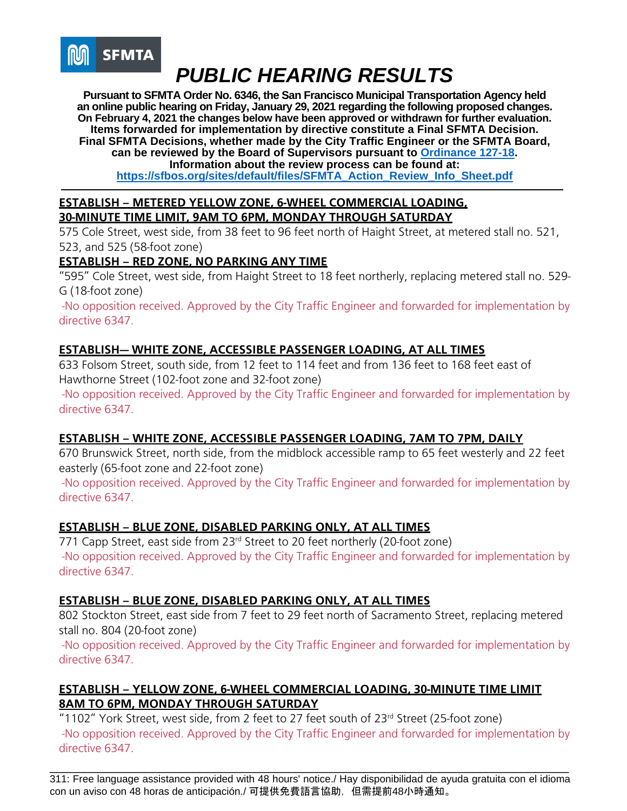

**Pursuant to SFMTA Order No. 6346, the San Francisco Municipal Transportation Agency held an online public hearing on Friday, January 29, 2021 regarding the following proposed changes. On February 4, 2021 the changes below have been approved or withdrawn for further evaluation. Items forwarded for implementation by directive constitute a Final SFMTA Decision. Final SFMTA Decisions, whether made by the City Traffic Engineer or the SFMTA Board, can be reviewed by the Board of Supervisors pursuant to [Ordinance 127-18.](https://sfbos.org/sites/default/files/o0127-18.pdf) Information about the review process can be found at: [https://sfbos.org/sites/default/files/SFMTA\\_Action\\_Review\\_Info\\_Sheet.pdf](https://sfbos.org/sites/default/files/SFMTA_Action_Review_Info_Sheet.pdf)**

### **ESTABLISH – METERED YELLOW ZONE, 6-WHEEL COMMERCIAL LOADING, 30-MINUTE TIME LIMIT, 9AM TO 6PM, MONDAY THROUGH SATURDAY**

575 Cole Street, west side, from 38 feet to 96 feet north of Haight Street, at metered stall no. 521, 523, and 525 (58-foot zone)

# **ESTABLISH – RED ZONE, NO PARKING ANY TIME**

"595" Cole Street, west side, from Haight Street to 18 feet northerly, replacing metered stall no. 529- G (18-foot zone)

-No opposition received. Approved by the City Traffic Engineer and forwarded for implementation by directive 6347.

# **ESTABLISH— WHITE ZONE, ACCESSIBLE PASSENGER LOADING, AT ALL TIMES**

633 Folsom Street, south side, from 12 feet to 114 feet and from 136 feet to 168 feet east of Hawthorne Street (102-foot zone and 32-foot zone)

-No opposition received. Approved by the City Traffic Engineer and forwarded for implementation by directive 6347.

# **ESTABLISH – WHITE ZONE, ACCESSIBLE PASSENGER LOADING, 7AM TO 7PM, DAILY**

670 Brunswick Street, north side, from the midblock accessible ramp to 65 feet westerly and 22 feet easterly (65-foot zone and 22-foot zone)

-No opposition received. Approved by the City Traffic Engineer and forwarded for implementation by directive 6347.

# **ESTABLISH – BLUE ZONE, DISABLED PARKING ONLY, AT ALL TIMES**

771 Capp Street, east side from 23<sup>rd</sup> Street to 20 feet northerly (20-foot zone) -No opposition received. Approved by the City Traffic Engineer and forwarded for implementation by directive 6347.

## **ESTABLISH – BLUE ZONE, DISABLED PARKING ONLY, AT ALL TIMES**

802 Stockton Street, east side from 7 feet to 29 feet north of Sacramento Street, replacing metered stall no. 804 (20-foot zone)

-No opposition received. Approved by the City Traffic Engineer and forwarded for implementation by directive 6347.

## **ESTABLISH – YELLOW ZONE, 6-WHEEL COMMERCIAL LOADING, 30-MINUTE TIME LIMIT 8AM TO 6PM, MONDAY THROUGH SATURDAY**

"1102" York Street, west side, from 2 feet to 27 feet south of 23rd Street (25-foot zone) -No opposition received. Approved by the City Traffic Engineer and forwarded for implementation by directive 6347.

\_\_\_\_\_\_\_\_\_\_\_\_\_\_\_\_\_\_\_\_\_\_\_\_\_\_\_\_\_\_\_\_\_\_\_\_\_\_\_\_\_\_\_\_\_\_\_\_\_\_\_\_\_\_\_\_\_\_\_\_\_\_\_\_\_\_\_\_\_\_\_\_\_\_\_\_ 311: Free language assistance provided with 48 hours' notice./ Hay disponibilidad de ayuda gratuita con el idioma con un aviso con 48 horas de anticipación./ 可提供免費語言協助,但需提前48小時通知。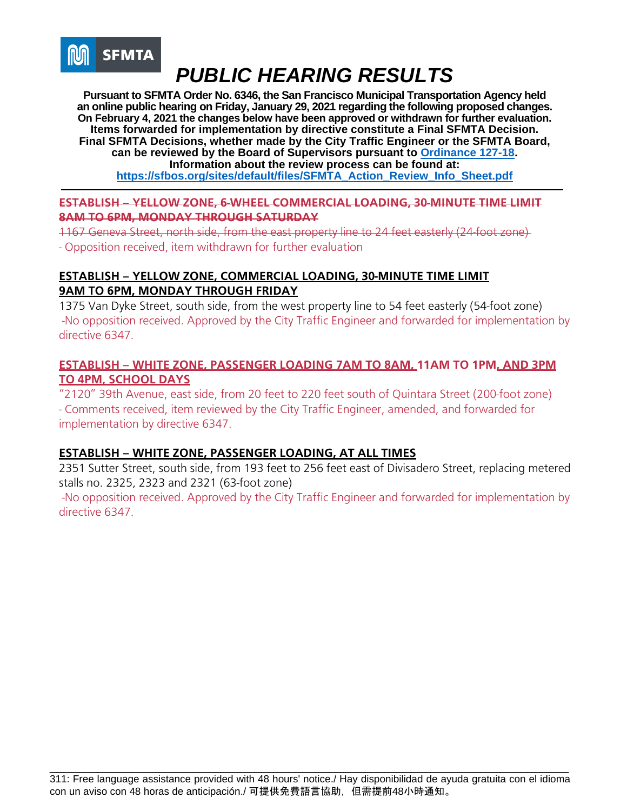

**Pursuant to SFMTA Order No. 6346, the San Francisco Municipal Transportation Agency held an online public hearing on Friday, January 29, 2021 regarding the following proposed changes. On February 4, 2021 the changes below have been approved or withdrawn for further evaluation. Items forwarded for implementation by directive constitute a Final SFMTA Decision. Final SFMTA Decisions, whether made by the City Traffic Engineer or the SFMTA Board, can be reviewed by the Board of Supervisors pursuant to [Ordinance 127-18.](https://sfbos.org/sites/default/files/o0127-18.pdf) Information about the review process can be found at: [https://sfbos.org/sites/default/files/SFMTA\\_Action\\_Review\\_Info\\_Sheet.pdf](https://sfbos.org/sites/default/files/SFMTA_Action_Review_Info_Sheet.pdf)**

#### **ESTABLISH – YELLOW ZONE, 6-WHEEL COMMERCIAL LOADING, 30-MINUTE TIME LIMIT 8AM TO 6PM, MONDAY THROUGH SATURDAY**

1167 Geneva Street, north side, from the east property line to 24 feet easterly (24-foot zone)

- Opposition received, item withdrawn for further evaluation

## **ESTABLISH – YELLOW ZONE, COMMERCIAL LOADING, 30-MINUTE TIME LIMIT 9AM TO 6PM, MONDAY THROUGH FRIDAY**

1375 Van Dyke Street, south side, from the west property line to 54 feet easterly (54-foot zone) -No opposition received. Approved by the City Traffic Engineer and forwarded for implementation by directive 6347.

## **ESTABLISH – WHITE ZONE, PASSENGER LOADING 7AM TO 8AM, 11AM TO 1PM, AND 3PM TO 4PM, SCHOOL DAYS**

"2120" 39th Avenue, east side, from 20 feet to 220 feet south of Quintara Street (200-foot zone) - Comments received, item reviewed by the City Traffic Engineer, amended, and forwarded for implementation by directive 6347.

# **ESTABLISH – WHITE ZONE, PASSENGER LOADING, AT ALL TIMES**

2351 Sutter Street, south side, from 193 feet to 256 feet east of Divisadero Street, replacing metered stalls no. 2325, 2323 and 2321 (63-foot zone)

-No opposition received. Approved by the City Traffic Engineer and forwarded for implementation by directive 6347.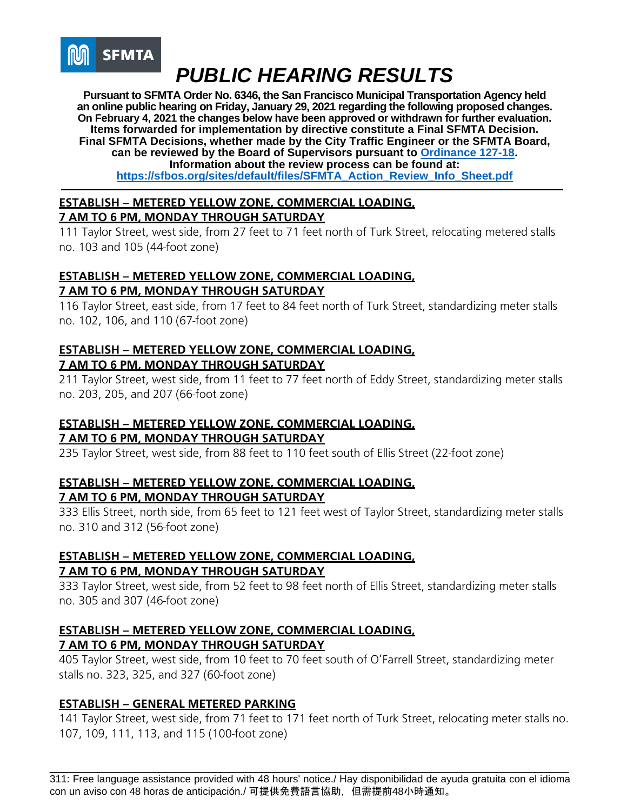

**Pursuant to SFMTA Order No. 6346, the San Francisco Municipal Transportation Agency held an online public hearing on Friday, January 29, 2021 regarding the following proposed changes. On February 4, 2021 the changes below have been approved or withdrawn for further evaluation. Items forwarded for implementation by directive constitute a Final SFMTA Decision. Final SFMTA Decisions, whether made by the City Traffic Engineer or the SFMTA Board, can be reviewed by the Board of Supervisors pursuant to [Ordinance 127-18.](https://sfbos.org/sites/default/files/o0127-18.pdf) Information about the review process can be found at: [https://sfbos.org/sites/default/files/SFMTA\\_Action\\_Review\\_Info\\_Sheet.pdf](https://sfbos.org/sites/default/files/SFMTA_Action_Review_Info_Sheet.pdf)**

#### **ESTABLISH – METERED YELLOW ZONE, COMMERCIAL LOADING, 7 AM TO 6 PM, MONDAY THROUGH SATURDAY**

111 Taylor Street, west side, from 27 feet to 71 feet north of Turk Street, relocating metered stalls no. 103 and 105 (44-foot zone)

## **ESTABLISH – METERED YELLOW ZONE, COMMERCIAL LOADING, 7 AM TO 6 PM, MONDAY THROUGH SATURDAY**

116 Taylor Street, east side, from 17 feet to 84 feet north of Turk Street, standardizing meter stalls no. 102, 106, and 110 (67-foot zone)

## **ESTABLISH – METERED YELLOW ZONE, COMMERCIAL LOADING, 7 AM TO 6 PM, MONDAY THROUGH SATURDAY**

211 Taylor Street, west side, from 11 feet to 77 feet north of Eddy Street, standardizing meter stalls no. 203, 205, and 207 (66-foot zone)

## **ESTABLISH – METERED YELLOW ZONE, COMMERCIAL LOADING, 7 AM TO 6 PM, MONDAY THROUGH SATURDAY**

235 Taylor Street, west side, from 88 feet to 110 feet south of Ellis Street (22-foot zone)

# **ESTABLISH – METERED YELLOW ZONE, COMMERCIAL LOADING, 7 AM TO 6 PM, MONDAY THROUGH SATURDAY**

333 Ellis Street, north side, from 65 feet to 121 feet west of Taylor Street, standardizing meter stalls no. 310 and 312 (56-foot zone)

## **ESTABLISH – METERED YELLOW ZONE, COMMERCIAL LOADING, 7 AM TO 6 PM, MONDAY THROUGH SATURDAY**

333 Taylor Street, west side, from 52 feet to 98 feet north of Ellis Street, standardizing meter stalls no. 305 and 307 (46-foot zone)

## **ESTABLISH – METERED YELLOW ZONE, COMMERCIAL LOADING, 7 AM TO 6 PM, MONDAY THROUGH SATURDAY**

405 Taylor Street, west side, from 10 feet to 70 feet south of O'Farrell Street, standardizing meter stalls no. 323, 325, and 327 (60-foot zone)

# **ESTABLISH – GENERAL METERED PARKING**

141 Taylor Street, west side, from 71 feet to 171 feet north of Turk Street, relocating meter stalls no. 107, 109, 111, 113, and 115 (100-foot zone)

\_\_\_\_\_\_\_\_\_\_\_\_\_\_\_\_\_\_\_\_\_\_\_\_\_\_\_\_\_\_\_\_\_\_\_\_\_\_\_\_\_\_\_\_\_\_\_\_\_\_\_\_\_\_\_\_\_\_\_\_\_\_\_\_\_\_\_\_\_\_\_\_\_\_\_\_ 311: Free language assistance provided with 48 hours' notice./ Hay disponibilidad de ayuda gratuita con el idioma con un aviso con 48 horas de anticipación./ 可提供免費語言協助,但需提前48小時通知。